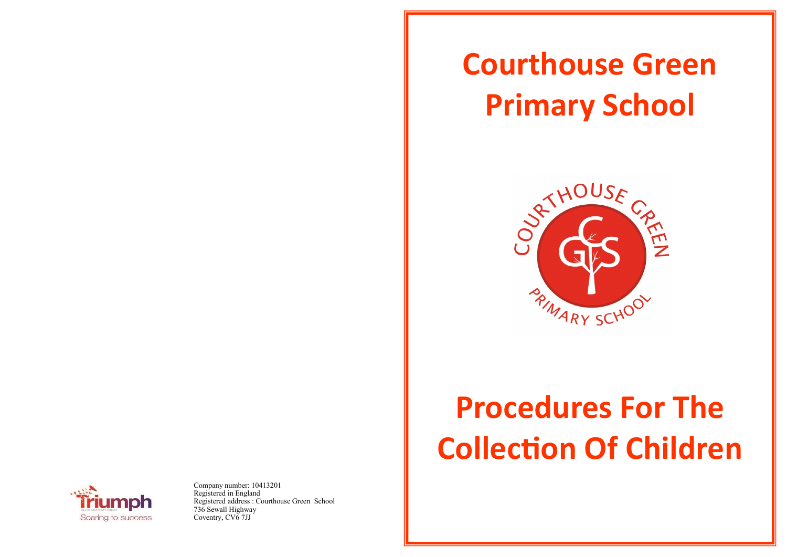## **Courthouse Green Primary School**



## **Procedures For The Collection Of Children**



Company number: 10413201 Registered in England Registered address : Courthouse Green School 736 Sewall Highway Coventry, CV<sub>6</sub> 7JJ